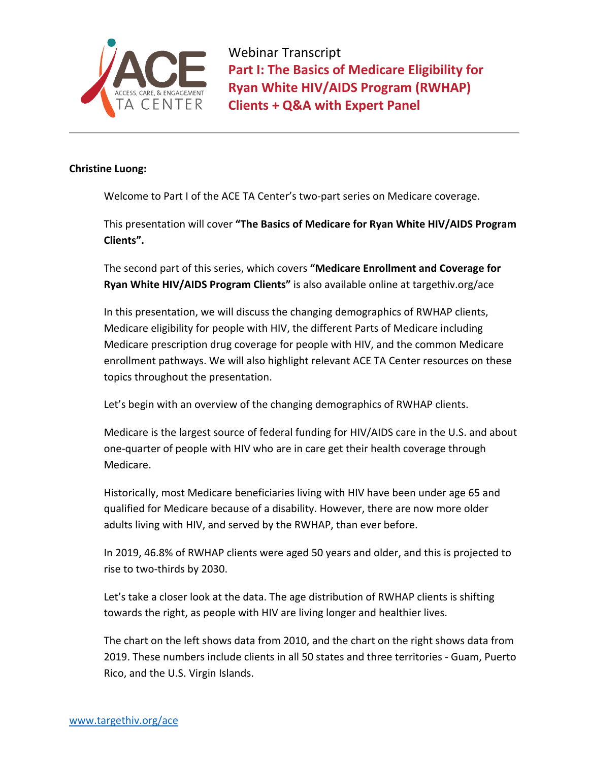

## **Christine Luong:**

Welcome to Part I of the ACE TA Center's two-part series on Medicare coverage.

This presentation will cover **"The Basics of Medicare for Ryan White HIV/AIDS Program Clients".** 

The second part of this series, which covers **"Medicare Enrollment and Coverage for Ryan White HIV/AIDS Program Clients"** is also available online at targethiv.org/ace

In this presentation, we will discuss the changing demographics of RWHAP clients, Medicare eligibility for people with HIV, the different Parts of Medicare including Medicare prescription drug coverage for people with HIV, and the common Medicare enrollment pathways. We will also highlight relevant ACE TA Center resources on these topics throughout the presentation.

Let's begin with an overview of the changing demographics of RWHAP clients.

Medicare is the largest source of federal funding for HIV/AIDS care in the U.S. and about one-quarter of people with HIV who are in care get their health coverage through Medicare.

Historically, most Medicare beneficiaries living with HIV have been under age 65 and qualified for Medicare because of a disability. However, there are now more older adults living with HIV, and served by the RWHAP, than ever before.

In 2019, 46.8% of RWHAP clients were aged 50 years and older, and this is projected to rise to two-thirds by 2030.

Let's take a closer look at the data. The age distribution of RWHAP clients is shifting towards the right, as people with HIV are living longer and healthier lives.

The chart on the left shows data from 2010, and the chart on the right shows data from 2019. These numbers include clients in all 50 states and three territories - Guam, Puerto Rico, and the U.S. Virgin Islands.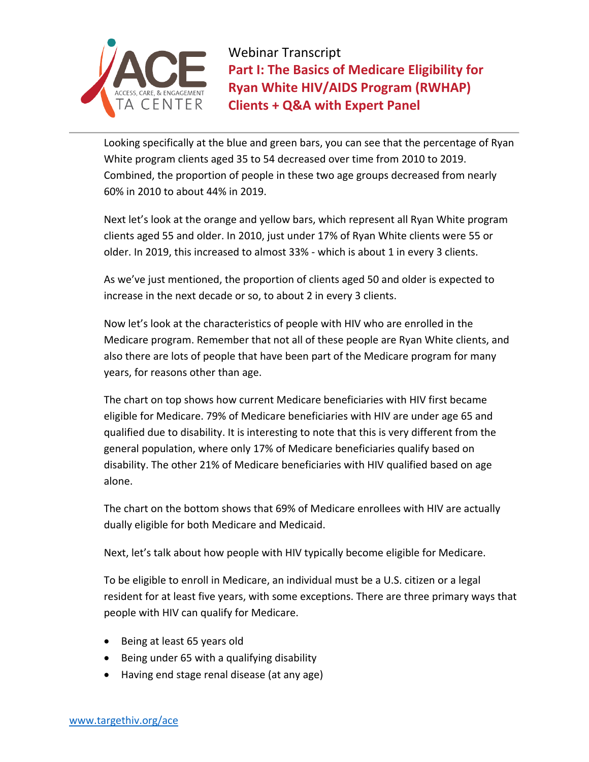

Looking specifically at the blue and green bars, you can see that the percentage of Ryan White program clients aged 35 to 54 decreased over time from 2010 to 2019. Combined, the proportion of people in these two age groups decreased from nearly 60% in 2010 to about 44% in 2019.

Next let's look at the orange and yellow bars, which represent all Ryan White program clients aged 55 and older. In 2010, just under 17% of Ryan White clients were 55 or older. In 2019, this increased to almost 33% - which is about 1 in every 3 clients.

As we've just mentioned, the proportion of clients aged 50 and older is expected to increase in the next decade or so, to about 2 in every 3 clients.

Now let's look at the characteristics of people with HIV who are enrolled in the Medicare program. Remember that not all of these people are Ryan White clients, and also there are lots of people that have been part of the Medicare program for many years, for reasons other than age.

The chart on top shows how current Medicare beneficiaries with HIV first became eligible for Medicare. 79% of Medicare beneficiaries with HIV are under age 65 and qualified due to disability. It is interesting to note that this is very different from the general population, where only 17% of Medicare beneficiaries qualify based on disability. The other 21% of Medicare beneficiaries with HIV qualified based on age alone.

The chart on the bottom shows that 69% of Medicare enrollees with HIV are actually dually eligible for both Medicare and Medicaid.

Next, let's talk about how people with HIV typically become eligible for Medicare.

To be eligible to enroll in Medicare, an individual must be a U.S. citizen or a legal resident for at least five years, with some exceptions. There are three primary ways that people with HIV can qualify for Medicare.

- Being at least 65 years old
- Being under 65 with a qualifying disability
- Having end stage renal disease (at any age)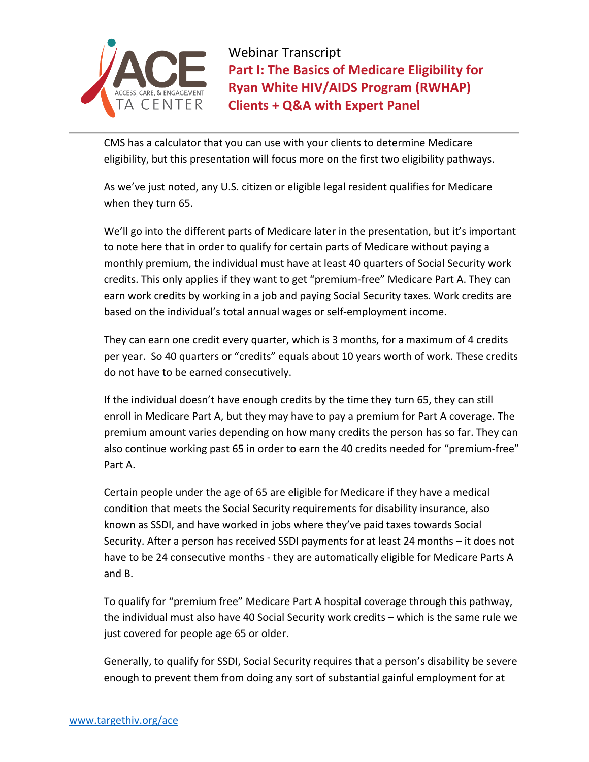

CMS has a calculator that you can use with your clients to determine Medicare eligibility, but this presentation will focus more on the first two eligibility pathways.

As we've just noted, any U.S. citizen or eligible legal resident qualifies for Medicare when they turn 65.

We'll go into the different parts of Medicare later in the presentation, but it's important to note here that in order to qualify for certain parts of Medicare without paying a monthly premium, the individual must have at least 40 quarters of Social Security work credits. This only applies if they want to get "premium-free" Medicare Part A. They can earn work credits by working in a job and paying Social Security taxes. Work credits are based on the individual's total annual wages or self-employment income.

They can earn one credit every quarter, which is 3 months, for a maximum of 4 credits per year. So 40 quarters or "credits" equals about 10 years worth of work. These credits do not have to be earned consecutively.

If the individual doesn't have enough credits by the time they turn 65, they can still enroll in Medicare Part A, but they may have to pay a premium for Part A coverage. The premium amount varies depending on how many credits the person has so far. They can also continue working past 65 in order to earn the 40 credits needed for "premium-free" Part A.

Certain people under the age of 65 are eligible for Medicare if they have a medical condition that meets the Social Security requirements for disability insurance, also known as SSDI, and have worked in jobs where they've paid taxes towards Social Security. After a person has received SSDI payments for at least 24 months – it does not have to be 24 consecutive months - they are automatically eligible for Medicare Parts A and B.

To qualify for "premium free" Medicare Part A hospital coverage through this pathway, the individual must also have 40 Social Security work credits – which is the same rule we just covered for people age 65 or older.

Generally, to qualify for SSDI, Social Security requires that a person's disability be severe enough to prevent them from doing any sort of substantial gainful employment for at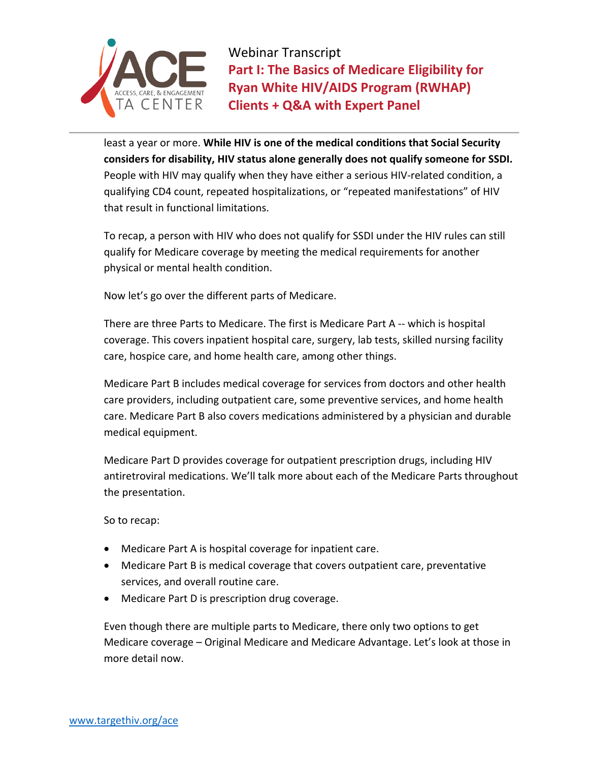

least a year or more. **While HIV is one of the medical conditions that Social Security considers for disability, HIV status alone generally does not qualify someone for SSDI.**  People with HIV may qualify when they have either a serious HIV-related condition, a qualifying CD4 count, repeated hospitalizations, or "repeated manifestations" of HIV that result in functional limitations.

To recap, a person with HIV who does not qualify for SSDI under the HIV rules can still qualify for Medicare coverage by meeting the medical requirements for another physical or mental health condition.

Now let's go over the different parts of Medicare.

There are three Parts to Medicare. The first is Medicare Part A -- which is hospital coverage. This covers inpatient hospital care, surgery, lab tests, skilled nursing facility care, hospice care, and home health care, among other things.

Medicare Part B includes medical coverage for services from doctors and other health care providers, including outpatient care, some preventive services, and home health care. Medicare Part B also covers medications administered by a physician and durable medical equipment.

Medicare Part D provides coverage for outpatient prescription drugs, including HIV antiretroviral medications. We'll talk more about each of the Medicare Parts throughout the presentation.

So to recap:

- Medicare Part A is hospital coverage for inpatient care.
- Medicare Part B is medical coverage that covers outpatient care, preventative services, and overall routine care.
- Medicare Part D is prescription drug coverage.

Even though there are multiple parts to Medicare, there only two options to get Medicare coverage – Original Medicare and Medicare Advantage. Let's look at those in more detail now.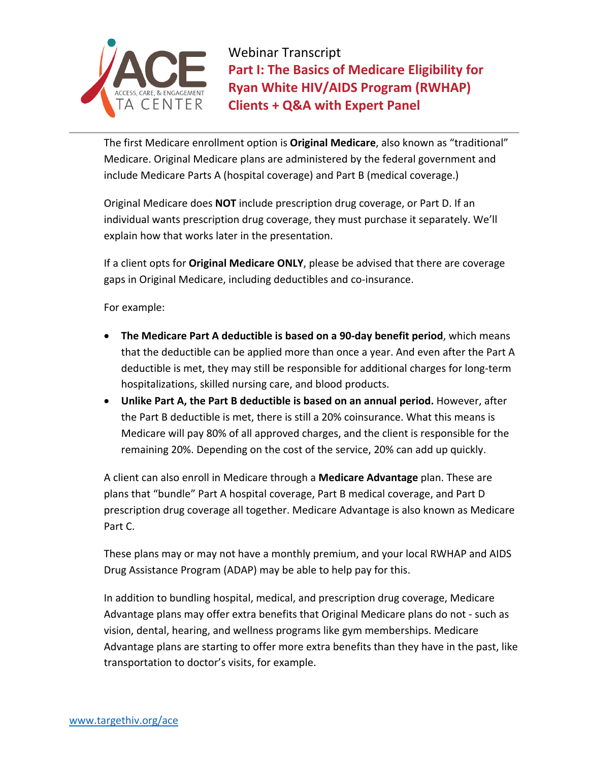

The first Medicare enrollment option is **Original Medicare**, also known as "traditional" Medicare. Original Medicare plans are administered by the federal government and include Medicare Parts A (hospital coverage) and Part B (medical coverage.)

Original Medicare does **NOT** include prescription drug coverage, or Part D. If an individual wants prescription drug coverage, they must purchase it separately. We'll explain how that works later in the presentation.

If a client opts for **Original Medicare ONLY**, please be advised that there are coverage gaps in Original Medicare, including deductibles and co-insurance.

For example:

- **The Medicare Part A deductible is based on a 90-day benefit period**, which means that the deductible can be applied more than once a year. And even after the Part A deductible is met, they may still be responsible for additional charges for long-term hospitalizations, skilled nursing care, and blood products.
- **Unlike Part A, the Part B deductible is based on an annual period.** However, after the Part B deductible is met, there is still a 20% coinsurance. What this means is Medicare will pay 80% of all approved charges, and the client is responsible for the remaining 20%. Depending on the cost of the service, 20% can add up quickly.

A client can also enroll in Medicare through a **Medicare Advantage** plan. These are plans that "bundle" Part A hospital coverage, Part B medical coverage, and Part D prescription drug coverage all together. Medicare Advantage is also known as Medicare Part C.

These plans may or may not have a monthly premium, and your local RWHAP and AIDS Drug Assistance Program (ADAP) may be able to help pay for this.

In addition to bundling hospital, medical, and prescription drug coverage, Medicare Advantage plans may offer extra benefits that Original Medicare plans do not - such as vision, dental, hearing, and wellness programs like gym memberships. Medicare Advantage plans are starting to offer more extra benefits than they have in the past, like transportation to doctor's visits, for example.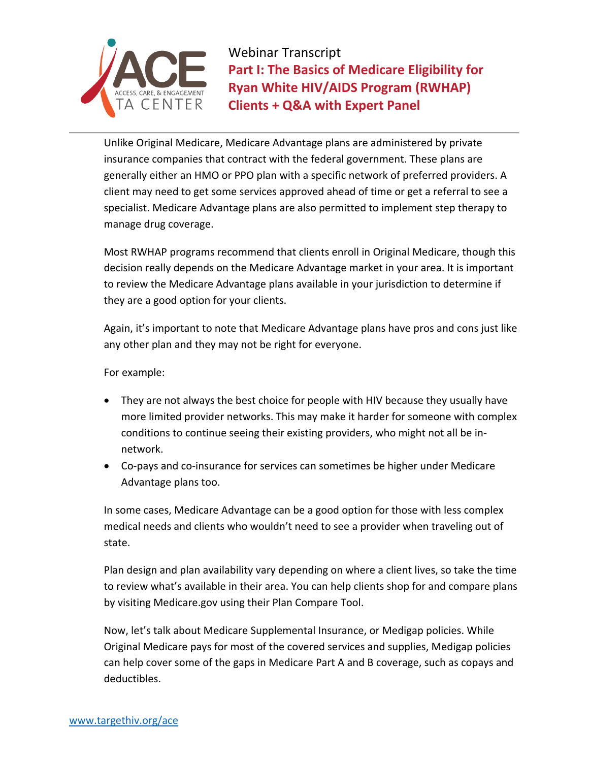

Unlike Original Medicare, Medicare Advantage plans are administered by private insurance companies that contract with the federal government. These plans are generally either an HMO or PPO plan with a specific network of preferred providers. A client may need to get some services approved ahead of time or get a referral to see a specialist. Medicare Advantage plans are also permitted to implement step therapy to manage drug coverage.

Most RWHAP programs recommend that clients enroll in Original Medicare, though this decision really depends on the Medicare Advantage market in your area. It is important to review the Medicare Advantage plans available in your jurisdiction to determine if they are a good option for your clients.

Again, it's important to note that Medicare Advantage plans have pros and cons just like any other plan and they may not be right for everyone.

For example:

- They are not always the best choice for people with HIV because they usually have more limited provider networks. This may make it harder for someone with complex conditions to continue seeing their existing providers, who might not all be innetwork.
- Co-pays and co-insurance for services can sometimes be higher under Medicare Advantage plans too.

In some cases, Medicare Advantage can be a good option for those with less complex medical needs and clients who wouldn't need to see a provider when traveling out of state.

Plan design and plan availability vary depending on where a client lives, so take the time to review what's available in their area. You can help clients shop for and compare plans by visiting Medicare.gov using their Plan Compare Tool.

Now, let's talk about Medicare Supplemental Insurance, or Medigap policies. While Original Medicare pays for most of the covered services and supplies, Medigap policies can help cover some of the gaps in Medicare Part A and B coverage, such as copays and deductibles.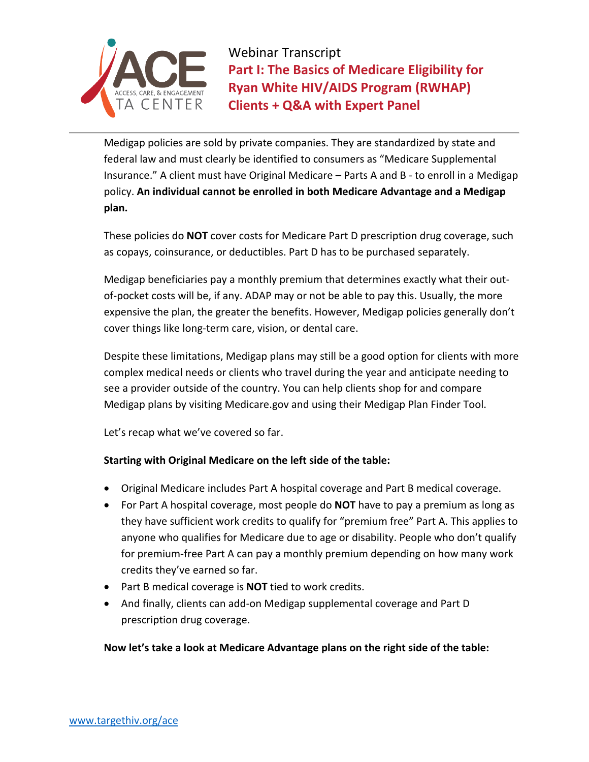

Medigap policies are sold by private companies. They are standardized by state and federal law and must clearly be identified to consumers as "Medicare Supplemental Insurance." A client must have Original Medicare – Parts A and B - to enroll in a Medigap policy. **An individual cannot be enrolled in both Medicare Advantage and a Medigap plan.**

These policies do **NOT** cover costs for Medicare Part D prescription drug coverage, such as copays, coinsurance, or deductibles. Part D has to be purchased separately.

Medigap beneficiaries pay a monthly premium that determines exactly what their outof-pocket costs will be, if any. ADAP may or not be able to pay this. Usually, the more expensive the plan, the greater the benefits. However, Medigap policies generally don't cover things like long-term care, vision, or dental care.

Despite these limitations, Medigap plans may still be a good option for clients with more complex medical needs or clients who travel during the year and anticipate needing to see a provider outside of the country. You can help clients shop for and compare Medigap plans by visiting Medicare.gov and using their Medigap Plan Finder Tool.

Let's recap what we've covered so far.

## **Starting with Original Medicare on the left side of the table:**

- Original Medicare includes Part A hospital coverage and Part B medical coverage.
- For Part A hospital coverage, most people do **NOT** have to pay a premium as long as they have sufficient work credits to qualify for "premium free" Part A. This applies to anyone who qualifies for Medicare due to age or disability. People who don't qualify for premium-free Part A can pay a monthly premium depending on how many work credits they've earned so far.
- Part B medical coverage is **NOT** tied to work credits.
- And finally, clients can add-on Medigap supplemental coverage and Part D prescription drug coverage.

## **Now let's take a look at Medicare Advantage plans on the right side of the table:**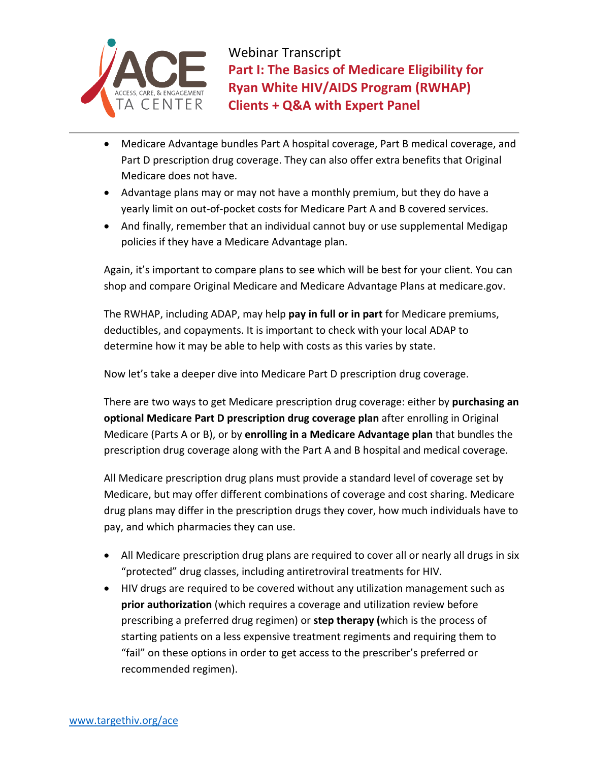

- Medicare Advantage bundles Part A hospital coverage, Part B medical coverage, and Part D prescription drug coverage. They can also offer extra benefits that Original Medicare does not have.
- Advantage plans may or may not have a monthly premium, but they do have a yearly limit on out-of-pocket costs for Medicare Part A and B covered services.
- And finally, remember that an individual cannot buy or use supplemental Medigap policies if they have a Medicare Advantage plan.

Again, it's important to compare plans to see which will be best for your client. You can shop and compare Original Medicare and Medicare Advantage Plans at medicare.gov.

The RWHAP, including ADAP, may help **pay in full or in part** for Medicare premiums, deductibles, and copayments. It is important to check with your local ADAP to determine how it may be able to help with costs as this varies by state.

Now let's take a deeper dive into Medicare Part D prescription drug coverage.

There are two ways to get Medicare prescription drug coverage: either by **purchasing an optional Medicare Part D prescription drug coverage plan** after enrolling in Original Medicare (Parts A or B), or by **enrolling in a Medicare Advantage plan** that bundles the prescription drug coverage along with the Part A and B hospital and medical coverage.

All Medicare prescription drug plans must provide a standard level of coverage set by Medicare, but may offer different combinations of coverage and cost sharing. Medicare drug plans may differ in the prescription drugs they cover, how much individuals have to pay, and which pharmacies they can use.

- All Medicare prescription drug plans are required to cover all or nearly all drugs in six "protected" drug classes, including antiretroviral treatments for HIV.
- HIV drugs are required to be covered without any utilization management such as **prior authorization** (which requires a coverage and utilization review before prescribing a preferred drug regimen) or **step therapy (**which is the process of starting patients on a less expensive treatment regiments and requiring them to "fail" on these options in order to get access to the prescriber's preferred or recommended regimen).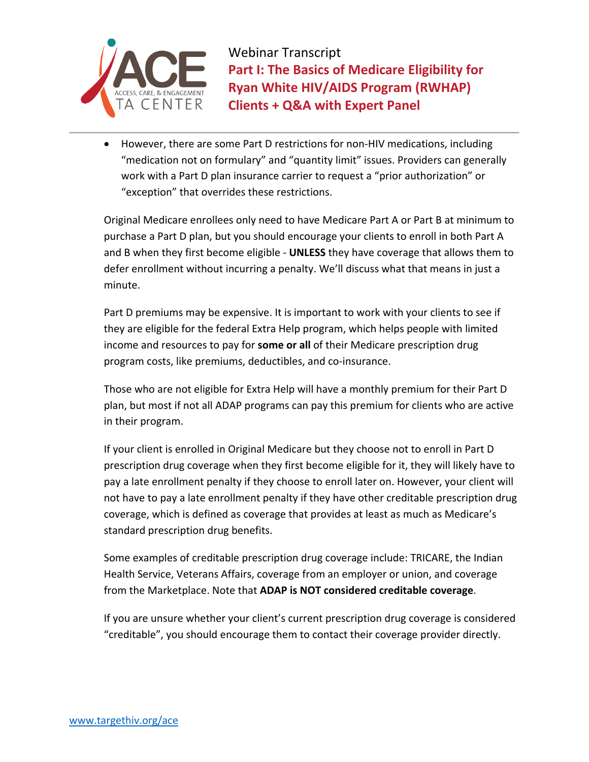

• However, there are some Part D restrictions for non-HIV medications, including "medication not on formulary" and "quantity limit" issues. Providers can generally work with a Part D plan insurance carrier to request a "prior authorization" or "exception" that overrides these restrictions.

Original Medicare enrollees only need to have Medicare Part A or Part B at minimum to purchase a Part D plan, but you should encourage your clients to enroll in both Part A and B when they first become eligible - **UNLESS** they have coverage that allows them to defer enrollment without incurring a penalty. We'll discuss what that means in just a minute.

Part D premiums may be expensive. It is important to work with your clients to see if they are eligible for the federal Extra Help program, which helps people with limited income and resources to pay for **some or all** of their Medicare prescription drug program costs, like premiums, deductibles, and co-insurance.

Those who are not eligible for Extra Help will have a monthly premium for their Part D plan, but most if not all ADAP programs can pay this premium for clients who are active in their program.

If your client is enrolled in Original Medicare but they choose not to enroll in Part D prescription drug coverage when they first become eligible for it, they will likely have to pay a late enrollment penalty if they choose to enroll later on. However, your client will not have to pay a late enrollment penalty if they have other creditable prescription drug coverage, which is defined as coverage that provides at least as much as Medicare's standard prescription drug benefits.

Some examples of creditable prescription drug coverage include: TRICARE, the Indian Health Service, Veterans Affairs, coverage from an employer or union, and coverage from the Marketplace. Note that **ADAP is NOT considered creditable coverage**.

If you are unsure whether your client's current prescription drug coverage is considered "creditable", you should encourage them to contact their coverage provider directly.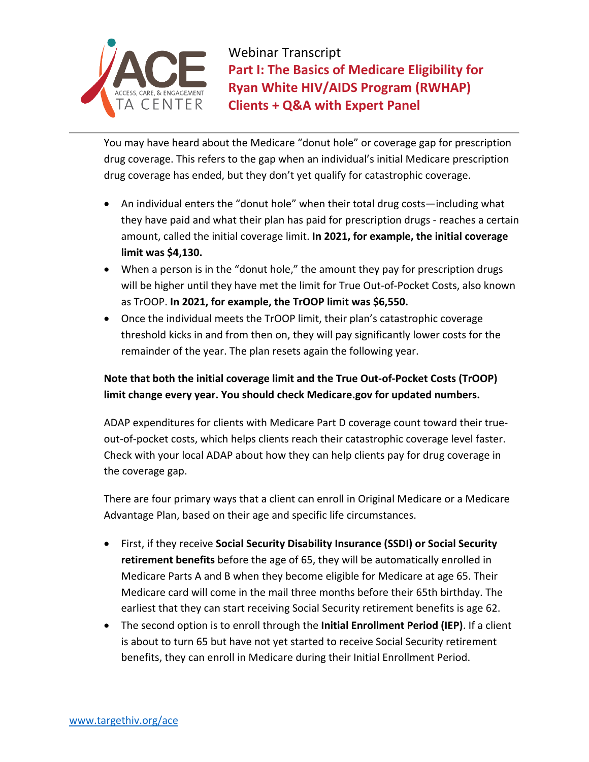

You may have heard about the Medicare "donut hole" or coverage gap for prescription drug coverage. This refers to the gap when an individual's initial Medicare prescription drug coverage has ended, but they don't yet qualify for catastrophic coverage.

- An individual enters the "donut hole" when their total drug costs—including what they have paid and what their plan has paid for prescription drugs - reaches a certain amount, called the initial coverage limit. **In 2021, for example, the initial coverage limit was \$4,130.**
- When a person is in the "donut hole," the amount they pay for prescription drugs will be higher until they have met the limit for True Out-of-Pocket Costs, also known as TrOOP. **In 2021, for example, the TrOOP limit was \$6,550.**
- Once the individual meets the TrOOP limit, their plan's catastrophic coverage threshold kicks in and from then on, they will pay significantly lower costs for the remainder of the year. The plan resets again the following year.

## **Note that both the initial coverage limit and the True Out-of-Pocket Costs (TrOOP) limit change every year. You should check Medicare.gov for updated numbers.**

ADAP expenditures for clients with Medicare Part D coverage count toward their trueout-of-pocket costs, which helps clients reach their catastrophic coverage level faster. Check with your local ADAP about how they can help clients pay for drug coverage in the coverage gap.

There are four primary ways that a client can enroll in Original Medicare or a Medicare Advantage Plan, based on their age and specific life circumstances.

- First, if they receive **Social Security Disability Insurance (SSDI) or Social Security retirement benefits** before the age of 65, they will be automatically enrolled in Medicare Parts A and B when they become eligible for Medicare at age 65. Their Medicare card will come in the mail three months before their 65th birthday. The earliest that they can start receiving Social Security retirement benefits is age 62.
- The second option is to enroll through the **Initial Enrollment Period (IEP)**. If a client is about to turn 65 but have not yet started to receive Social Security retirement benefits, they can enroll in Medicare during their Initial Enrollment Period.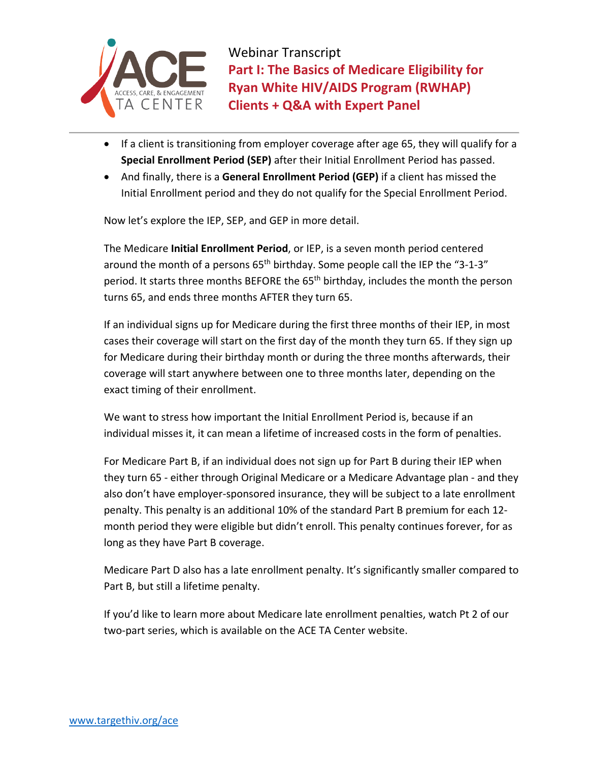

- If a client is transitioning from employer coverage after age 65, they will qualify for a **Special Enrollment Period (SEP)** after their Initial Enrollment Period has passed.
- And finally, there is a **General Enrollment Period (GEP)** if a client has missed the Initial Enrollment period and they do not qualify for the Special Enrollment Period.

Now let's explore the IEP, SEP, and GEP in more detail.

The Medicare **Initial Enrollment Period**, or IEP, is a seven month period centered around the month of a persons  $65<sup>th</sup>$  birthday. Some people call the IEP the "3-1-3" period. It starts three months BEFORE the 65<sup>th</sup> birthday, includes the month the person turns 65, and ends three months AFTER they turn 65.

If an individual signs up for Medicare during the first three months of their IEP, in most cases their coverage will start on the first day of the month they turn 65. If they sign up for Medicare during their birthday month or during the three months afterwards, their coverage will start anywhere between one to three months later, depending on the exact timing of their enrollment.

We want to stress how important the Initial Enrollment Period is, because if an individual misses it, it can mean a lifetime of increased costs in the form of penalties.

For Medicare Part B, if an individual does not sign up for Part B during their IEP when they turn 65 - either through Original Medicare or a Medicare Advantage plan - and they also don't have employer-sponsored insurance, they will be subject to a late enrollment penalty. This penalty is an additional 10% of the standard Part B premium for each 12 month period they were eligible but didn't enroll. This penalty continues forever, for as long as they have Part B coverage.

Medicare Part D also has a late enrollment penalty. It's significantly smaller compared to Part B, but still a lifetime penalty.

If you'd like to learn more about Medicare late enrollment penalties, watch Pt 2 of our two-part series, which is available on the ACE TA Center website.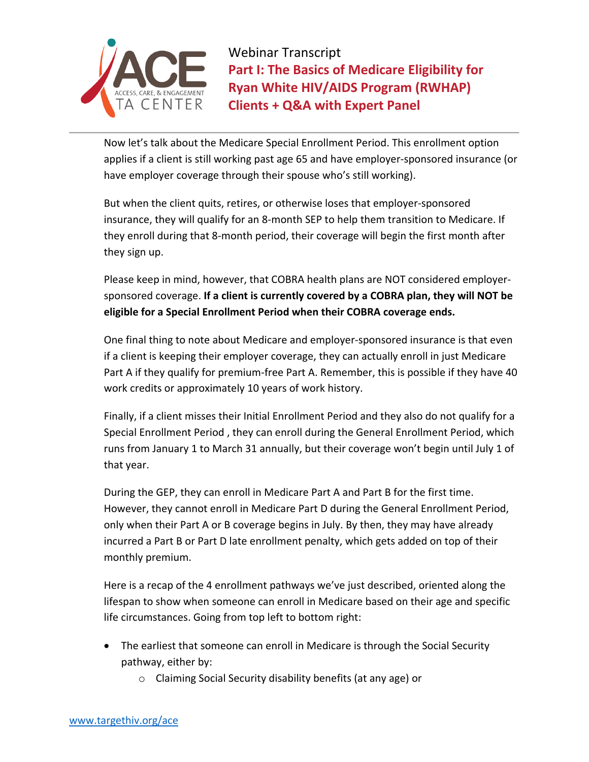

Now let's talk about the Medicare Special Enrollment Period. This enrollment option applies if a client is still working past age 65 and have employer-sponsored insurance (or have employer coverage through their spouse who's still working).

But when the client quits, retires, or otherwise loses that employer-sponsored insurance, they will qualify for an 8-month SEP to help them transition to Medicare. If they enroll during that 8-month period, their coverage will begin the first month after they sign up.

Please keep in mind, however, that COBRA health plans are NOT considered employersponsored coverage. **If a client is currently covered by a COBRA plan, they will NOT be eligible for a Special Enrollment Period when their COBRA coverage ends.**

One final thing to note about Medicare and employer-sponsored insurance is that even if a client is keeping their employer coverage, they can actually enroll in just Medicare Part A if they qualify for premium-free Part A. Remember, this is possible if they have 40 work credits or approximately 10 years of work history.

Finally, if a client misses their Initial Enrollment Period and they also do not qualify for a Special Enrollment Period , they can enroll during the General Enrollment Period, which runs from January 1 to March 31 annually, but their coverage won't begin until July 1 of that year.

During the GEP, they can enroll in Medicare Part A and Part B for the first time. However, they cannot enroll in Medicare Part D during the General Enrollment Period, only when their Part A or B coverage begins in July. By then, they may have already incurred a Part B or Part D late enrollment penalty, which gets added on top of their monthly premium.

Here is a recap of the 4 enrollment pathways we've just described, oriented along the lifespan to show when someone can enroll in Medicare based on their age and specific life circumstances. Going from top left to bottom right:

- The earliest that someone can enroll in Medicare is through the Social Security pathway, either by:
	- o Claiming Social Security disability benefits (at any age) or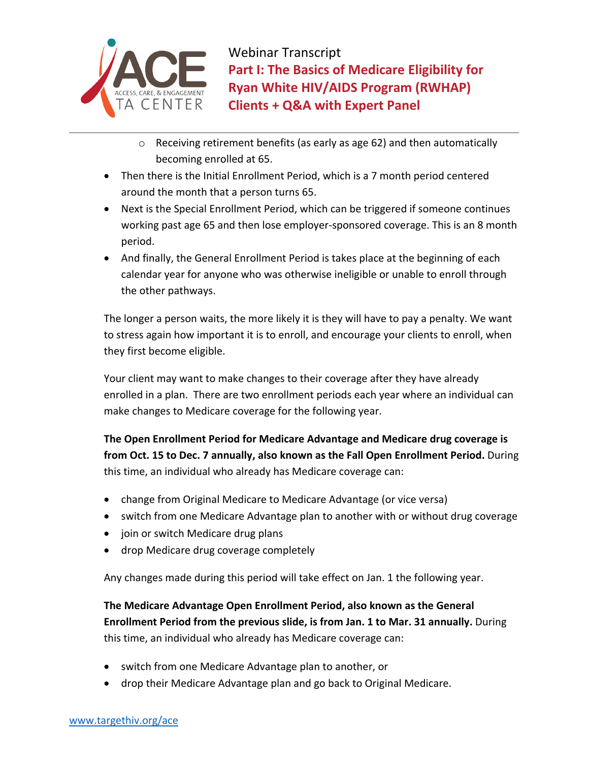

- o Receiving retirement benefits (as early as age 62) and then automatically becoming enrolled at 65.
- Then there is the Initial Enrollment Period, which is a 7 month period centered around the month that a person turns 65.
- Next is the Special Enrollment Period, which can be triggered if someone continues working past age 65 and then lose employer-sponsored coverage. This is an 8 month period.
- And finally, the General Enrollment Period is takes place at the beginning of each calendar year for anyone who was otherwise ineligible or unable to enroll through the other pathways.

The longer a person waits, the more likely it is they will have to pay a penalty. We want to stress again how important it is to enroll, and encourage your clients to enroll, when they first become eligible.

Your client may want to make changes to their coverage after they have already enrolled in a plan. There are two enrollment periods each year where an individual can make changes to Medicare coverage for the following year.

**The Open Enrollment Period for Medicare Advantage and Medicare drug coverage is from Oct. 15 to Dec. 7 annually, also known as the Fall Open Enrollment Period.** During this time, an individual who already has Medicare coverage can:

- change from Original Medicare to Medicare Advantage (or vice versa)
- switch from one Medicare Advantage plan to another with or without drug coverage
- join or switch Medicare drug plans
- drop Medicare drug coverage completely

Any changes made during this period will take effect on Jan. 1 the following year.

**The Medicare Advantage Open Enrollment Period, also known as the General Enrollment Period from the previous slide, is from Jan. 1 to Mar. 31 annually.** During this time, an individual who already has Medicare coverage can:

- switch from one Medicare Advantage plan to another, or
- drop their Medicare Advantage plan and go back to Original Medicare.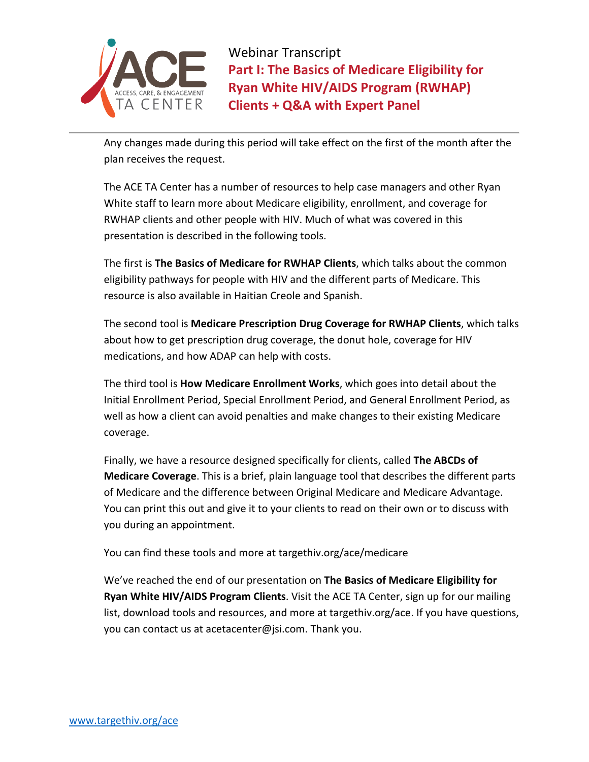

Any changes made during this period will take effect on the first of the month after the plan receives the request.

The ACE TA Center has a number of resources to help case managers and other Ryan White staff to learn more about Medicare eligibility, enrollment, and coverage for RWHAP clients and other people with HIV. Much of what was covered in this presentation is described in the following tools.

The first is **The Basics of Medicare for RWHAP Clients**, which talks about the common eligibility pathways for people with HIV and the different parts of Medicare. This resource is also available in Haitian Creole and Spanish.

The second tool is **Medicare Prescription Drug Coverage for RWHAP Clients**, which talks about how to get prescription drug coverage, the donut hole, coverage for HIV medications, and how ADAP can help with costs.

The third tool is **How Medicare Enrollment Works**, which goes into detail about the Initial Enrollment Period, Special Enrollment Period, and General Enrollment Period, as well as how a client can avoid penalties and make changes to their existing Medicare coverage.

Finally, we have a resource designed specifically for clients, called **The ABCDs of Medicare Coverage**. This is a brief, plain language tool that describes the different parts of Medicare and the difference between Original Medicare and Medicare Advantage. You can print this out and give it to your clients to read on their own or to discuss with you during an appointment.

You can find these tools and more at targethiv.org/ace/medicare

We've reached the end of our presentation on **The Basics of Medicare Eligibility for Ryan White HIV/AIDS Program Clients**. Visit the ACE TA Center, sign up for our mailing list, download tools and resources, and more at targethiv.org/ace. If you have questions, you can contact us at acetacenter@jsi.com. Thank you.